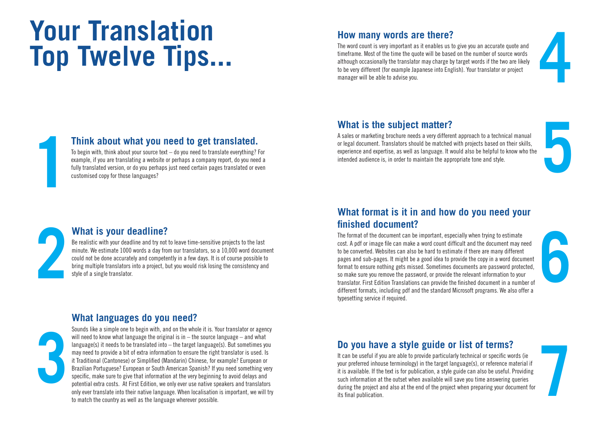## **Your Translation Top Twelve Tips...**

**How many words are there?**<br>The word count is very important as it enables us to give you an accurate quote and<br>timeframe. Most of the time the quote will be based on the number of source words<br>although occasionally the tr The word count is very important as it enables us to give you an accurate quote and timeframe. Most of the time the quote will be based on the number of source words although occasionally the translator may charge by target words if the two are likely to be very different (for example Japanese into English). Your translator or project manager will be able to advise you.

**What is the subject matter?**<br>A sales or marketing brochure needs a very different approach to a technical manual<br>or legal document. Translators should be matched with projects based on their skills,<br>experience and experti A sales or marketing brochure needs a very different approach to a technical manual or legal document. Translators should be matched with projects based on their skills, experience and expertise, as well as language. It would also be helpful to know who the intended audience is, in order to maintain the appropriate tone and style.



## **What format is it in and how do you need your finished document?**

The format of the document can be important, especially when trying to estimate cost. A pdf or image file can make a word count difficult and the document may need to be converted. Websites can also be hard to estimate if there are many different pages and sub-pages. It might be a good idea to provide the copy in a word document format to ensure nothing gets missed. Sometimes documents are password protected, so make sure you remove the password, or provide the relevant information to your translator. First Edition Translations can provide the finished document in a number of different formats, including pdf and the standard Microsoft programs. We also offer a typesetting service if required.

# **6**

## **2 What is your deadline?**

customised copy for those languages?

Be realistic with your deadline and try not to leave time-sensitive projects to the last minute. We estimate 1000 words a day from our translators, so a 10,000 word document could not be done accurately and competently in a few days. It is of course possible to bring multiple translators into a project, but you would risk losing the consistency and style of a single translator.

**Think about what you need to get translated.** To begin with, think about your source text – do you need to translate everything? For example, if you are translating a website or perhaps a company report, do you need a fully translated version, or do you perhaps just need certain pages translated or even

## **What languages do you need?**



**1**

Sounds like a simple one to begin with, and on the whole it is. Your translator or agency will need to know what language the original is in – the source language – and what language(s) it needs to be translated into – the target language(s). But sometimes you may need to provide a bit of extra information to ensure the right translator is used. Is it Traditional (Cantonese) or Simplified (Mandarin) Chinese, for example? European or Brazilian Portuguese? European or South American Spanish? If you need something very specific, make sure to give that information at the very beginning to avoid delays and potential extra costs. At First Edition, we only ever use native speakers and translators only ever translate into their native language. When localisation is important, we will try to match the country as well as the language wherever possible.

**Do you have a style guide or list of terms?**<br>It can be useful if you are able to provide particularly technical or specific words (ie<br>your preferred inhouse terminology) in the target language(s), or reference material if It can be useful if you are able to provide particularly technical or specific words (ie your preferred inhouse terminology) in the target language(s), or reference material if it is available. If the text is for publication, a style guide can also be useful. Providing such information at the outset when available will save you time answering queries during the project and also at the end of the project when preparing your document for its final publication.